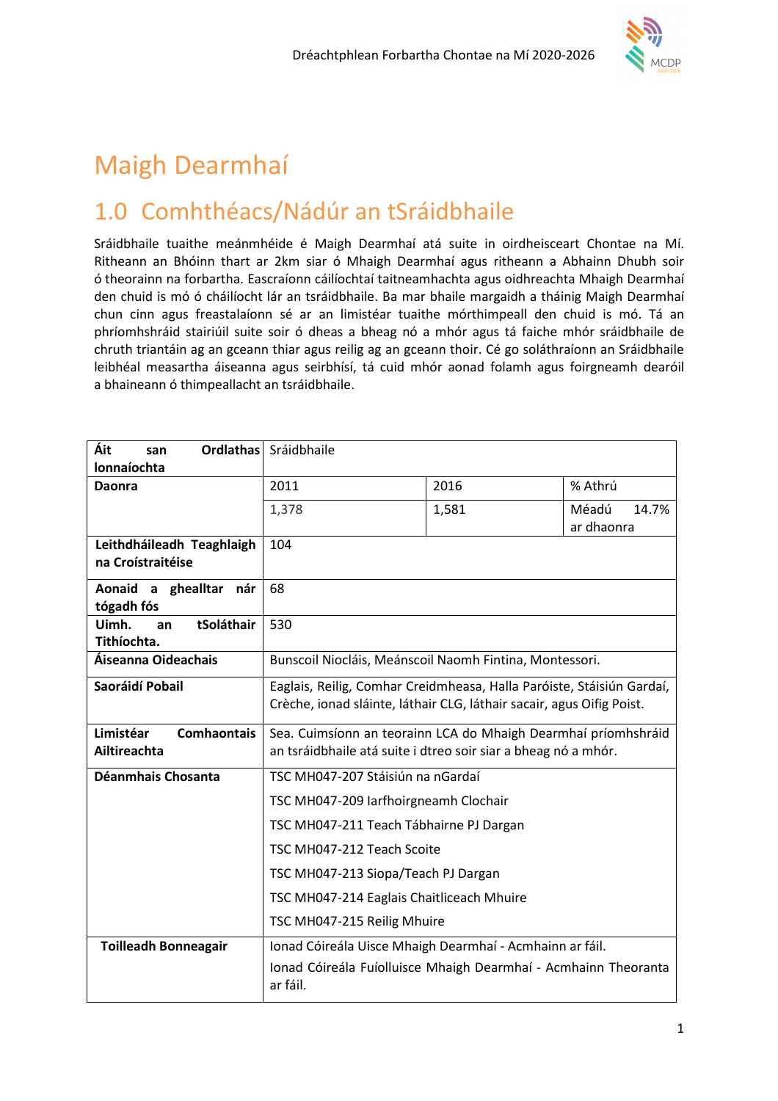

# Maigh Dearmhaí

# 1.0 Comhthéacs/Nádúr an tSráidbhaile

Sráidbhaile tuaithe meánmhéide é Maigh Dearmhaí atá suite in oirdheisceart Chontae na Mí. Ritheann an Bhóinn thart ar 2km siar ó Mhaigh Dearmhaí agus ritheann a Abhainn Dhubh soir ó theorainn na forbartha. Eascraíonn cáilíochtaí taitneamhachta agus oidhreachta Mhaigh Dearmhaí den chuid is mó ó cháilíocht lár an tsráidbhaile. Ba mar bhaile margaidh a tháinig Maigh Dearmhaí chun cinn agus freastalaíonn sé ar an limistéar tuaithe mórthimpeall den chuid is mó. Tá an phríomhshráid stairiúil suite soir ó dheas a bheag nó a mhór agus tá faiche mhór sráidbhaile de chruth triantáin ag an gceann thiar agus reilig ag an gceann thoir. Cé go soláthraíonn an Sráidbhaile leibhéal measartha áiseanna agus seirbhísí, tá cuid mhór aonad folamh agus foirgneamh dearóil a bhaineann ó thimpeallacht an tsráidbhaile.

| Áit<br><b>Ordlathas</b><br>san  | Sráidbhaile                                                                 |       |                |
|---------------------------------|-----------------------------------------------------------------------------|-------|----------------|
| <b>lonnaíochta</b>              |                                                                             |       |                |
| <b>Daonra</b>                   | 2011                                                                        | 2016  | % Athrú        |
|                                 | 1,378                                                                       | 1,581 | Méadú<br>14.7% |
|                                 |                                                                             |       | ar dhaonra     |
| Leithdháileadh Teaghlaigh       | 104                                                                         |       |                |
| na Croístraitéise               |                                                                             |       |                |
| Aonaid a<br>ghealltar<br>nár    | 68                                                                          |       |                |
| tógadh fós                      |                                                                             |       |                |
| tSoláthair<br>Uimh.<br>an       | 530                                                                         |       |                |
| Tithíochta.                     |                                                                             |       |                |
| Áiseanna Oideachais             | Bunscoil Niocláis, Meánscoil Naomh Fintina, Montessori.                     |       |                |
| Saoráidí Pobail                 | Eaglais, Reilig, Comhar Creidmheasa, Halla Paróiste, Stáisiún Gardaí,       |       |                |
|                                 | Crèche, ionad sláinte, láthair CLG, láthair sacair, agus Oifig Poist.       |       |                |
| Limistéar<br><b>Comhaontais</b> | Sea. Cuimsíonn an teorainn LCA do Mhaigh Dearmhaí príomhshráid              |       |                |
| Ailtireachta                    | an tsráidbhaile atá suite i dtreo soir siar a bheag nó a mhór.              |       |                |
| Déanmhais Chosanta              | TSC MH047-207 Stáisiún na nGardaí                                           |       |                |
|                                 | TSC MH047-209 larfhoirgneamh Clochair                                       |       |                |
|                                 | TSC MH047-211 Teach Tábhairne PJ Dargan                                     |       |                |
|                                 | TSC MH047-212 Teach Scoite                                                  |       |                |
|                                 | TSC MH047-213 Siopa/Teach PJ Dargan                                         |       |                |
|                                 | TSC MH047-214 Eaglais Chaitliceach Mhuire                                   |       |                |
|                                 | TSC MH047-215 Reilig Mhuire                                                 |       |                |
| <b>Toilleadh Bonneagair</b>     | Ionad Cóireála Uisce Mhaigh Dearmhaí - Acmhainn ar fáil.                    |       |                |
|                                 | Ionad Cóireála Fuíolluisce Mhaigh Dearmhaí - Acmhainn Theoranta<br>ar fáil. |       |                |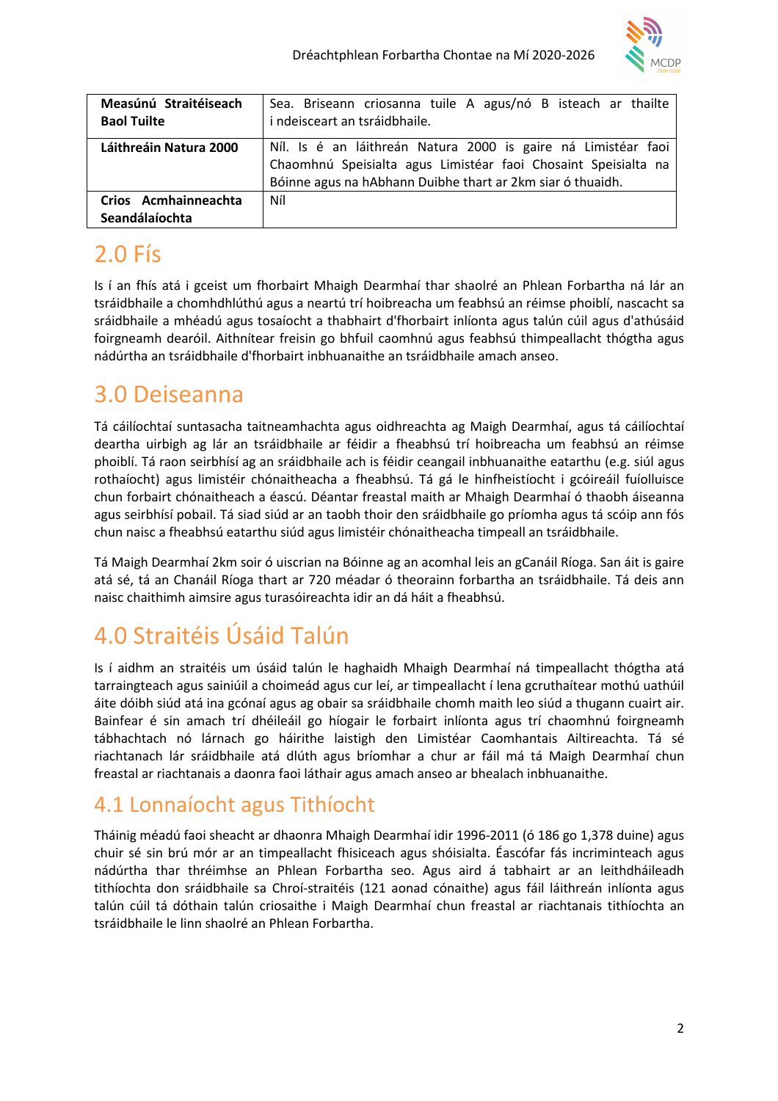

| Measúnú Straitéiseach<br><b>Baol Tuilte</b> | Sea. Briseann criosanna tuile A agus/nó B isteach ar thailte<br>i ndeisceart an tsráidbhaile.                                                                                                 |
|---------------------------------------------|-----------------------------------------------------------------------------------------------------------------------------------------------------------------------------------------------|
| Láithreáin Natura 2000                      | Níl. Is é an láithreán Natura 2000 is gaire ná Limistéar faoi<br>Chaomhnú Speisialta agus Limistéar faoi Chosaint Speisialta na<br>Bóinne agus na hAbhann Duibhe thart ar 2km siar ó thuaidh. |
| Crios Acmhainneachta<br>Seandálaíochta      | Níl                                                                                                                                                                                           |

# 2.0 Fís

Is í an fhís atá i gceist um fhorbairt Mhaigh Dearmhaí thar shaolré an Phlean Forbartha ná lár an tsráidbhaile a chomhdhlúthú agus a neartú trí hoibreacha um feabhsú an réimse phoiblí, nascacht sa sráidbhaile a mhéadú agus tosaíocht a thabhairt d'fhorbairt inlíonta agus talún cúil agus d'athúsáid foirgneamh dearóil. Aithnítear freisin go bhfuil caomhnú agus feabhsú thimpeallacht thógtha agus nádúrtha an tsráidbhaile d'fhorbairt inbhuanaithe an tsráidbhaile amach anseo.

# 3.0 Deiseanna

Tá cáilíochtaí suntasacha taitneamhachta agus oidhreachta ag Maigh Dearmhaí, agus tá cáilíochtaí deartha uirbigh ag lár an tsráidbhaile ar féidir a fheabhsú trí hoibreacha um feabhsú an réimse phoiblí. Tá raon seirbhísí ag an sráidbhaile ach is féidir ceangail inbhuanaithe eatarthu (e.g. siúl agus rothaíocht) agus limistéir chónaitheacha a fheabhsú. Tá gá le hinfheistíocht i gcóireáil fuíolluisce chun forbairt chónaitheach a éascú. Déantar freastal maith ar Mhaigh Dearmhaí ó thaobh áiseanna agus seirbhísí pobail. Tá siad siúd ar an taobh thoir den sráidbhaile go príomha agus tá scóip ann fós chun naisc a fheabhsú eatarthu siúd agus limistéir chónaitheacha timpeall an tsráidbhaile.

Tá Maigh Dearmhaí 2km soir ó uiscrian na Bóinne ag an acomhal leis an gCanáil Ríoga. San áit is gaire atá sé, tá an Chanáil Ríoga thart ar 720 méadar ó theorainn forbartha an tsráidbhaile. Tá deis ann naisc chaithimh aimsire agus turasóireachta idir an dá háit a fheabhsú.

# 4.0 Straitéis Úsáid Talún

Is í aidhm an straitéis um úsáid talún le haghaidh Mhaigh Dearmhaí ná timpeallacht thógtha atá tarraingteach agus sainiúil a choimeád agus cur leí, ar timpeallacht í lena gcruthaítear mothú uathúil áite dóibh siúd atá ina gcónaí agus ag obair sa sráidbhaile chomh maith leo siúd a thugann cuairt air. Bainfear é sin amach trí dhéileáil go híogair le forbairt inlíonta agus trí chaomhnú foirgneamh tábhachtach nó lárnach go háirithe laistigh den Limistéar Caomhantais Ailtireachta. Tá sé riachtanach lár sráidbhaile atá dlúth agus bríomhar a chur ar fáil má tá Maigh Dearmhaí chun freastal ar riachtanais a daonra faoi láthair agus amach anseo ar bhealach inbhuanaithe.

## 4.1 Lonnaíocht agus Tithíocht

Tháinig méadú faoi sheacht ar dhaonra Mhaigh Dearmhaí idir 1996-2011 (ó 186 go 1,378 duine) agus chuir sé sin brú mór ar an timpeallacht fhisiceach agus shóisialta. Éascófar fás incriminteach agus nádúrtha thar thréimhse an Phlean Forbartha seo. Agus aird á tabhairt ar an leithdháileadh tithíochta don sráidbhaile sa Chroí-straitéis (121 aonad cónaithe) agus fáil láithreán inlíonta agus talún cúil tá dóthain talún criosaithe i Maigh Dearmhaí chun freastal ar riachtanais tithíochta an tsráidbhaile le linn shaolré an Phlean Forbartha.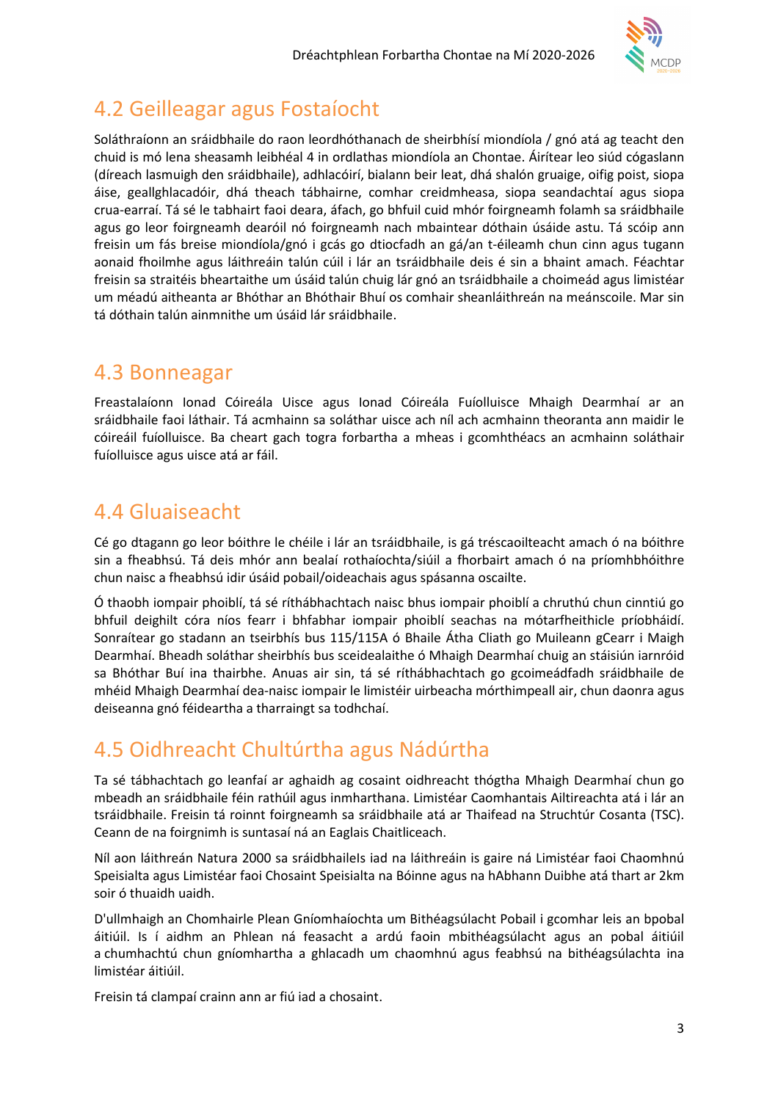

### 4.2 Geilleagar agus Fostaíocht

Soláthraíonn an sráidbhaile do raon leordhóthanach de sheirbhísí miondíola / gnó atá ag teacht den chuid is mó lena sheasamh leibhéal 4 in ordlathas miondíola an Chontae. Áirítear leo siúd cógaslann (díreach lasmuigh den sráidbhaile), adhlacóirí, bialann beir leat, dhá shalón gruaige, oifig poist, siopa áise, geallghlacadóir, dhá theach tábhairne, comhar creidmheasa, siopa seandachtaí agus siopa crua-earraí. Tá sé le tabhairt faoi deara, áfach, go bhfuil cuid mhór foirgneamh folamh sa sráidbhaile agus go leor foirgneamh dearóil nó foirgneamh nach mbaintear dóthain úsáide astu. Tá scóip ann freisin um fás breise miondíola/gnó i gcás go dtiocfadh an gá/an t-éileamh chun cinn agus tugann aonaid fhoilmhe agus láithreáin talún cúil i lár an tsráidbhaile deis é sin a bhaint amach. Féachtar freisin sa straitéis bheartaithe um úsáid talún chuig lár gnó an tsráidbhaile a choimeád agus limistéar um méadú aitheanta ar Bhóthar an Bhóthair Bhuí os comhair sheanláithreán na meánscoile. Mar sin tá dóthain talún ainmnithe um úsáid lár sráidbhaile.

### 4.3 Bonneagar

Freastalaíonn Ionad Cóireála Uisce agus Ionad Cóireála Fuíolluisce Mhaigh Dearmhaí ar an sráidbhaile faoi láthair. Tá acmhainn sa soláthar uisce ach níl ach acmhainn theoranta ann maidir le cóireáil fuíolluisce. Ba cheart gach togra forbartha a mheas i gcomhthéacs an acmhainn soláthair fuíolluisce agus uisce atá ar fáil.

### 4.4 Gluaiseacht

Cé go dtagann go leor bóithre le chéile i lár an tsráidbhaile, is gá tréscaoilteacht amach ó na bóithre sin a fheabhsú. Tá deis mhór ann bealaí rothaíochta/siúil a fhorbairt amach ó na príomhbhóithre chun naisc a fheabhsú idir úsáid pobail/oideachais agus spásanna oscailte.

Ó thaobh iompair phoiblí, tá sé ríthábhachtach naisc bhus iompair phoiblí a chruthú chun cinntiú go bhfuil deighilt córa níos fearr i bhfabhar iompair phoiblí seachas na mótarfheithicle príobháidí. Sonraítear go stadann an tseirbhís bus 115/115A ó Bhaile Átha Cliath go Muileann gCearr i Maigh Dearmhaí. Bheadh soláthar sheirbhís bus sceidealaithe ó Mhaigh Dearmhaí chuig an stáisiún iarnróid sa Bhóthar Buí ina thairbhe. Anuas air sin, tá sé ríthábhachtach go gcoimeádfadh sráidbhaile de mhéid Mhaigh Dearmhaí dea-naisc iompair le limistéir uirbeacha mórthimpeall air, chun daonra agus deiseanna gnó féideartha a tharraingt sa todhchaí.

## 4.5 Oidhreacht Chultúrtha agus Nádúrtha

Ta sé tábhachtach go leanfaí ar aghaidh ag cosaint oidhreacht thógtha Mhaigh Dearmhaí chun go mbeadh an sráidbhaile féin rathúil agus inmharthana. Limistéar Caomhantais Ailtireachta atá i lár an tsráidbhaile. Freisin tá roinnt foirgneamh sa sráidbhaile atá ar Thaifead na Struchtúr Cosanta (TSC). Ceann de na foirgnimh is suntasaí ná an Eaglais Chaitliceach.

Níl aon láithreán Natura 2000 sa sráidbhaileIs iad na láithreáin is gaire ná Limistéar faoi Chaomhnú Speisialta agus Limistéar faoi Chosaint Speisialta na Bóinne agus na hAbhann Duibhe atá thart ar 2km soir ó thuaidh uaidh.

D'ullmhaigh an Chomhairle Plean Gníomhaíochta um Bithéagsúlacht Pobail i gcomhar leis an bpobal áitiúil. Is í aidhm an Phlean ná feasacht a ardú faoin mbithéagsúlacht agus an pobal áitiúil a chumhachtú chun gníomhartha a ghlacadh um chaomhnú agus feabhsú na bithéagsúlachta ina limistéar áitiúil.

Freisin tá clampaí crainn ann ar fiú iad a chosaint.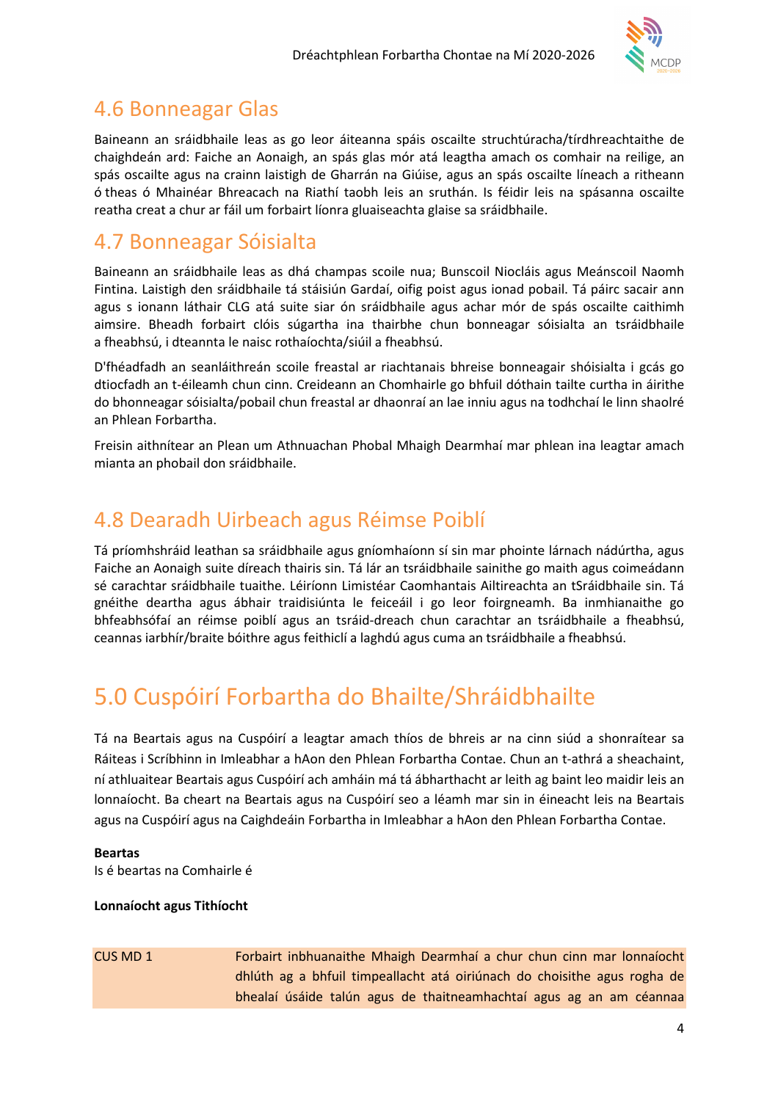

### 4.6 Bonneagar Glas

Baineann an sráidbhaile leas as go leor áiteanna spáis oscailte struchtúracha/tírdhreachtaithe de chaighdeán ard: Faiche an Aonaigh, an spás glas mór atá leagtha amach os comhair na reilige, an spás oscailte agus na crainn laistigh de Gharrán na Giúise, agus an spás oscailte líneach a ritheann ó theas ó Mhainéar Bhreacach na Riathí taobh leis an sruthán. Is féidir leis na spásanna oscailte reatha creat a chur ar fáil um forbairt líonra gluaiseachta glaise sa sráidbhaile.

### 4.7 Bonneagar Sóisialta

Baineann an sráidbhaile leas as dhá champas scoile nua; Bunscoil Niocláis agus Meánscoil Naomh Fintina. Laistigh den sráidbhaile tá stáisiún Gardaí, oifig poist agus ionad pobail. Tá páirc sacair ann agus s ionann láthair CLG atá suite siar ón sráidbhaile agus achar mór de spás oscailte caithimh aimsire. Bheadh forbairt clóis súgartha ina thairbhe chun bonneagar sóisialta an tsráidbhaile a fheabhsú, i dteannta le naisc rothaíochta/siúil a fheabhsú.

D'fhéadfadh an seanláithreán scoile freastal ar riachtanais bhreise bonneagair shóisialta i gcás go dtiocfadh an t-éileamh chun cinn. Creideann an Chomhairle go bhfuil dóthain tailte curtha in áirithe do bhonneagar sóisialta/pobail chun freastal ar dhaonraí an lae inniu agus na todhchaí le linn shaolré an Phlean Forbartha.

Freisin aithnítear an Plean um Athnuachan Phobal Mhaigh Dearmhaí mar phlean ina leagtar amach mianta an phobail don sráidbhaile.

### 4.8 Dearadh Uirbeach agus Réimse Poiblí

Tá príomhshráid leathan sa sráidbhaile agus gníomhaíonn sí sin mar phointe lárnach nádúrtha, agus Faiche an Aonaigh suite díreach thairis sin. Tá lár an tsráidbhaile sainithe go maith agus coimeádann sé carachtar sráidbhaile tuaithe. Léiríonn Limistéar Caomhantais Ailtireachta an tSráidbhaile sin. Tá gnéithe deartha agus ábhair traidisiúnta le feiceáil i go leor foirgneamh. Ba inmhianaithe go bhfeabhsófaí an réimse poiblí agus an tsráid-dreach chun carachtar an tsráidbhaile a fheabhsú, ceannas iarbhír/braite bóithre agus feithiclí a laghdú agus cuma an tsráidbhaile a fheabhsú.

# 5.0 Cuspóirí Forbartha do Bhailte/Shráidbhailte

Tá na Beartais agus na Cuspóirí a leagtar amach thíos de bhreis ar na cinn siúd a shonraítear sa Ráiteas i Scríbhinn in Imleabhar a hAon den Phlean Forbartha Contae. Chun an t-athrá a sheachaint, ní athluaitear Beartais agus Cuspóirí ach amháin má tá ábharthacht ar leith ag baint leo maidir leis an lonnaíocht. Ba cheart na Beartais agus na Cuspóirí seo a léamh mar sin in éineacht leis na Beartais agus na Cuspóirí agus na Caighdeáin Forbartha in Imleabhar a hAon den Phlean Forbartha Contae.

#### Beartas

Is é beartas na Comhairle é

#### Lonnaíocht agus Tithíocht

CUS MD 1 Forbairt inbhuanaithe Mhaigh Dearmhaí a chur chun cinn mar lonnaíocht dhlúth ag a bhfuil timpeallacht atá oiriúnach do choisithe agus rogha de bhealaí úsáide talún agus de thaitneamhachtaí agus ag an am céannaa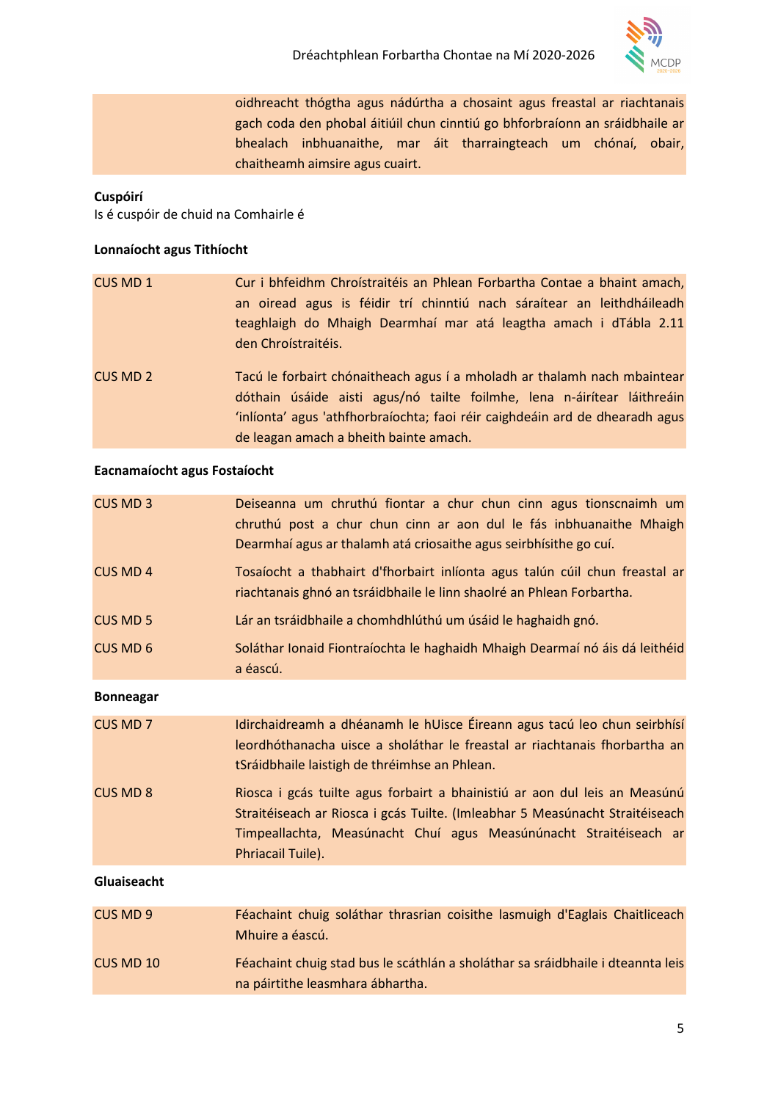

oidhreacht thógtha agus nádúrtha a chosaint agus freastal ar riachtanais gach coda den phobal áitiúil chun cinntiú go bhforbraíonn an sráidbhaile ar bhealach inbhuanaithe, mar áit tharraingteach um chónaí, obair, chaitheamh aimsire agus cuairt.

#### Cuspóirí

Is é cuspóir de chuid na Comhairle é

#### Lonnaíocht agus Tithíocht

| CUS MD 1 | Cur i bhfeidhm Chroístraitéis an Phlean Forbartha Contae a bhaint amach,<br>an oiread agus is féidir trí chinntiú nach sáraítear an leithdháileadh<br>teaghlaigh do Mhaigh Dearmhaí mar atá leagtha amach i dTábla 2.11<br>den Chroistraitéis.                                |
|----------|-------------------------------------------------------------------------------------------------------------------------------------------------------------------------------------------------------------------------------------------------------------------------------|
| CUS MD 2 | Tacú le forbairt chónaitheach agus í a mholadh ar thalamh nach mbaintear<br>dóthain úsáide aisti agus/nó tailte foilmhe, lena n-áirítear láithreáin<br>'inlíonta' agus 'athfhorbraíochta; faoi réir caighdeáin ard de dhearadh agus<br>de leagan amach a bheith bainte amach. |

#### Eacnamaíocht agus Fostaíocht

| <b>CUS MD 3</b>  | Deiseanna um chruthú fiontar a chur chun cinn agus tionscnaimh um<br>chruthú post a chur chun cinn ar aon dul le fás inbhuanaithe Mhaigh<br>Dearmhaí agus ar thalamh atá criosaithe agus seirbhísithe go cuí.                                        |
|------------------|------------------------------------------------------------------------------------------------------------------------------------------------------------------------------------------------------------------------------------------------------|
| <b>CUS MD 4</b>  | Tosaíocht a thabhairt d'fhorbairt inlíonta agus talún cúil chun freastal ar<br>riachtanais ghnó an tsráidbhaile le linn shaolré an Phlean Forbartha.                                                                                                 |
| <b>CUS MD 5</b>  | Lár an tsráidbhaile a chomhdhlúthú um úsáid le haghaidh gnó.                                                                                                                                                                                         |
| <b>CUS MD 6</b>  | Soláthar Ionaid Fiontraíochta le haghaidh Mhaigh Dearmaí nó áis dá leithéid<br>a éascú.                                                                                                                                                              |
| <b>Bonneagar</b> |                                                                                                                                                                                                                                                      |
| <b>CUS MD 7</b>  | Idirchaidreamh a dhéanamh le hUisce Éireann agus tacú leo chun seirbhísí<br>leordhóthanacha uisce a sholáthar le freastal ar riachtanais fhorbartha an<br>tSráidbhaile laistigh de thréimhse an Phlean.                                              |
| <b>CUS MD 8</b>  | Riosca i gcás tuilte agus forbairt a bhainistiú ar aon dul leis an Measúnú<br>Straitéiseach ar Riosca i gcás Tuilte. (Imleabhar 5 Measúnacht Straitéiseach<br>Timpeallachta, Measúnacht Chuí agus Measúnúnacht Straitéiseach ar<br>Phriacail Tuile). |
| Gluaiseacht      |                                                                                                                                                                                                                                                      |
| CUS MD 9         | Féachaint chuig soláthar thrasrian coisithe lasmuigh d'Eaglais Chaitliceach<br>Mhuire a éascú.                                                                                                                                                       |
| CUS MD 10        | Féachaint chuig stad bus le scáthlán a sholáthar sa sráidbhaile i dteannta leis                                                                                                                                                                      |

na páirtithe leasmhara ábhartha.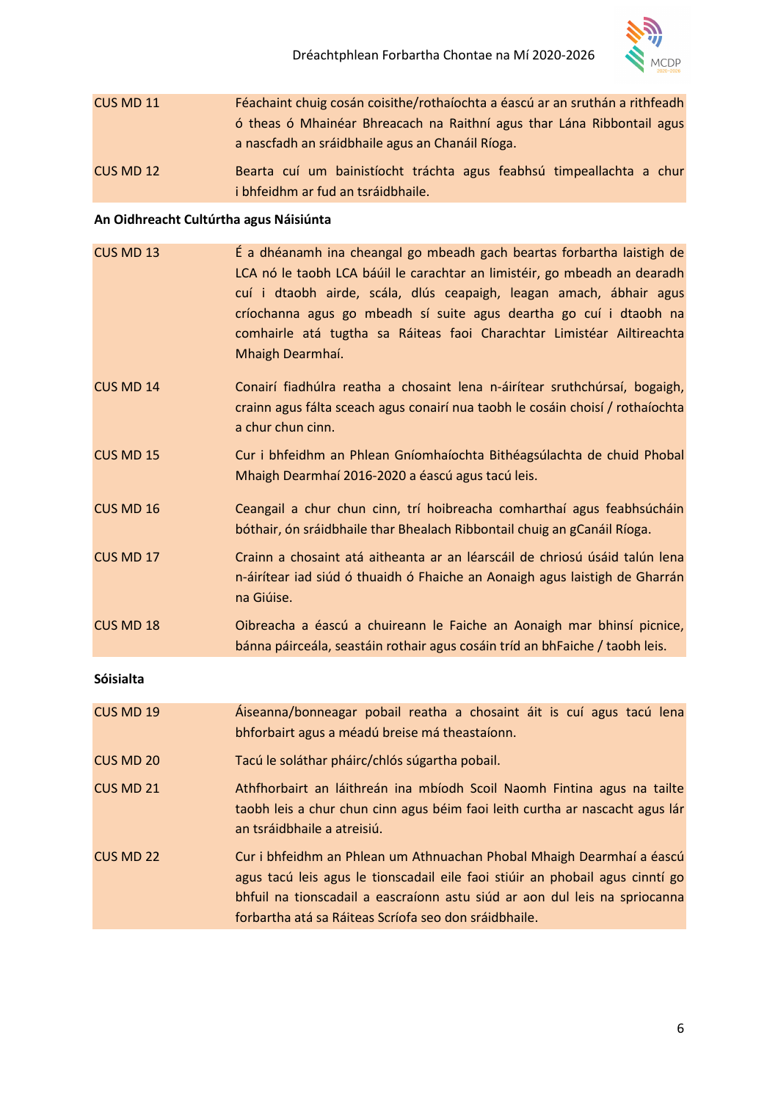

CUS MD 11 Féachaint chuig cosán coisithe/rothaíochta a éascú ar an sruthán a rithfeadh ó theas ó Mhainéar Bhreacach na Raithní agus thar Lána Ribbontail agus a nascfadh an sráidbhaile agus an Chanáil Ríoga. CUS MD 12 Bearta cuí um bainistíocht tráchta agus feabhsú timpeallachta a chur

i bhfeidhm ar fud an tsráidbhaile.

#### An Oidhreacht Cultúrtha agus Náisiúnta

| CUS MD 13        | É a dhéanamh ina cheangal go mbeadh gach beartas forbartha laistigh de<br>LCA nó le taobh LCA báúil le carachtar an limistéir, go mbeadh an dearadh<br>cuí i dtaobh airde, scála, dlús ceapaigh, leagan amach, ábhair agus<br>críochanna agus go mbeadh sí suite agus deartha go cuí i dtaobh na<br>comhairle atá tugtha sa Ráiteas faoi Charachtar Limistéar Ailtireachta<br>Mhaigh Dearmhaí. |
|------------------|------------------------------------------------------------------------------------------------------------------------------------------------------------------------------------------------------------------------------------------------------------------------------------------------------------------------------------------------------------------------------------------------|
| CUS MD 14        | Conairí fiadhúlra reatha a chosaint lena n-áirítear sruthchúrsaí, bogaigh,<br>crainn agus fálta sceach agus conairí nua taobh le cosáin choisí / rothaíochta<br>a chur chun cinn.                                                                                                                                                                                                              |
| <b>CUS MD 15</b> | Cur i bhfeidhm an Phlean Gníomhaíochta Bithéagsúlachta de chuid Phobal<br>Mhaigh Dearmhaí 2016-2020 a éascú agus tacú leis.                                                                                                                                                                                                                                                                    |
| CUS MD 16        | Ceangail a chur chun cinn, trí hoibreacha comharthaí agus feabhsúcháin<br>bóthair, ón sráidbhaile thar Bhealach Ribbontail chuig an gCanáil Ríoga.                                                                                                                                                                                                                                             |
| <b>CUS MD 17</b> | Crainn a chosaint atá aitheanta ar an léarscáil de chriosú úsáid talún lena<br>n-áirítear iad siúd ó thuaidh ó Fhaiche an Aonaigh agus laistigh de Gharrán<br>na Giúise.                                                                                                                                                                                                                       |
| CUS MD 18        | Oibreacha a éascú a chuireann le Faiche an Aonaigh mar bhinsí picnice,<br>bánna páirceála, seastáin rothair agus cosáin tríd an bhFaiche / taobh leis.                                                                                                                                                                                                                                         |
| Sóisialta        |                                                                                                                                                                                                                                                                                                                                                                                                |
| CUS MD 19        | Áiseanna/bonneagar pobail reatha a chosaint áit is cuí agus tacú lena<br>bhforbairt agus a méadú breise má theastaíonn.                                                                                                                                                                                                                                                                        |
| <b>CUS MD 20</b> | Tacú le soláthar pháirc/chlós súgartha pobail.                                                                                                                                                                                                                                                                                                                                                 |
| <b>CUS MD 21</b> | Athfhorbairt an láithreán ina mbíodh Scoil Naomh Fintina agus na tailte<br>taobh leis a chur chun cinn agus béim faoi leith curtha ar nascacht agus lár<br>an tsráidbhaile a atreisiú.                                                                                                                                                                                                         |
|                  |                                                                                                                                                                                                                                                                                                                                                                                                |

CUS MD 22 Cur i bhfeidhm an Phlean um Athnuachan Phobal Mhaigh Dearmhaí a éascú agus tacú leis agus le tionscadail eile faoi stiúir an phobail agus cinntí go bhfuil na tionscadail a eascraíonn astu siúd ar aon dul leis na spriocanna forbartha atá sa Ráiteas Scríofa seo don sráidbhaile.